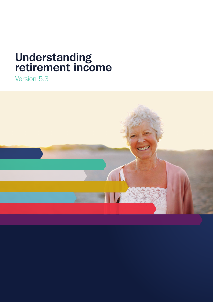# **Understanding retirement income**

Version 5.3

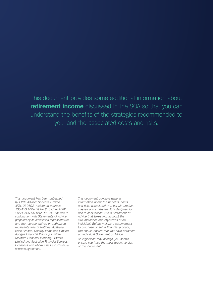This document provides some additional information about **retirement income** discussed in the SOA so that you can understand the benefits of the strategies recommended to you, and the associated costs and risks.

*This document has been published*  by GWM Adviser Services Limited AFSL 230692, registered address 105-153 Miller St North Sydney NSW 2060, ABN 96 002 071 749 for use in conjunction with Statements of Advice prepared by its authorised representatives and the representatives or authorised representatives of National Australia Bank Limited, Godfrey Pembroke Limited, Apogee Financial Planning Limited, Meritum Financial Planning, JBWere Limited and Australian Financial Services Licensees with whom it has a commercial services agreement.

This document contains general information about the benefits, costs and risks associated with certain product classes and strategies. It is designed for use in conjunction with a Statement of Advice that takes into account the circumstances and objectives of an individual. Before making a commitment to purchase or sell a financial product, you should ensure that you have obtained an individual Statement of Advice.

As legislation may change, you should ensure you have the most recent version of this document.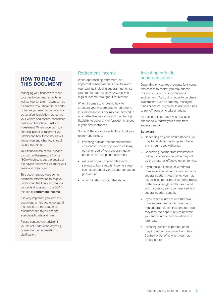# **HOW TO READ THIS DOCUMENT**

Managing your finances to meet your day to day requirements as well as your long-term goals can be a complex task. There are all sorts of issues you need to consider such as taxation, legislation, protecting your wealth and assets, associated costs and the inherent risks of investment. When undertaking a financial plan it is important you understand how these issues will impact you and what you should expect over time.

Your financial adviser will provide you with a Statement of Advice (SOA) which sets out the details of the advice and how it will meet your goals and objectives.

This document provides some additional information to help you understand the financial planning concepts discussed in the SOA in relation to **retirement income**.

It is very important you read this document to help you understand the benefits of the strategies recommended to you and the associated costs and risks.

Please contact your adviser if you do not understand anything, or need further information or clarification.

# Retirement income

When approaching retirement, an important consideration is how to invest your savings including superannuation so you are able to replace your wage with regular income throughout retirement.

When it comes to choosing how to structure your investments in retirement, it is important your savings are invested in a tax effective way while still maintaining flexibility to cover any unforeseen changes in your circumstances.

Some of the options available to fund your retirement include:

- investing outside the superannuation environment (this may involve cashing out all or part of your superannuation benefits as a lump sum payment)
- using all or part of your retirement savings to buy a regular income stream such as an annuity or a superannuation pension, or
- a combination of both the above.

# Investing outside superannuation

Depending on your requirements for income and access to capital, you may choose to invest outside the superannuation environment. You could choose to purchase investments such as property, managed funds or shares, or you could use your funds to pay off loans or to take a holiday.

As part of this strategy, you may also choose to withdraw your funds from superannuation.

#### **Be aware**

- Depending on your circumstances, you may be liable to pay lump sum tax on any amounts you withdraw.
- Generating income from investments held outside superannuation may not be the most tax effective option for you.
- If you make a lump sum withdrawal from superannuation to invest into nonsuperannuation investments, you may lose access to tax-free income/earnings or the tax offset generally associated with income streams commenced with superannuation benefits.
- If you make a lump sum withdrawal from superannuation to invest into non-superannuation investments, you may lose the opportunity to reinvest your funds into superannuation at a later date.
- Investing outside superannuation may impact on any current or future Centrelink benefits which you may be eligible for.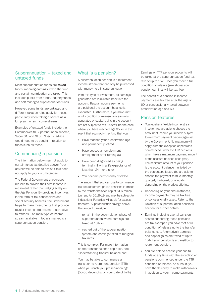## Superannuation – taxed and untaxed funds

Most superannuation funds are **taxed** funds, meaning earnings within the fund and certain contribution are taxed. This includes public offer funds, industry funds and self managed superannuation funds.

However, some funds are **untaxed** and different taxation rules apply for these, particularly when taking a benefit as a lump sum or an income stream.

Examples of untaxed funds include the Commonwealth Superannuation scheme, Super SA, and GESB. Specific advice would need to be sought in relation to funds such as these.

# Commencing a pension

The information below may not apply to certain funds (as detailed above). Your adviser will be able to assist if this does not apply to your circumstances.

The Federal Government encourages retirees to provide their own income in retirement rather than relying solely on the Age Pension. By providing incentives in the form of tax concessions and social security benefits, the Government helps to make investments that produce regular income streams more attractive to retirees. The main type of income stream available in today's market is a superannuation pension.

## What is a pension?

A superannuation pension is a retirement income stream that can only be purchased with money held in superannuation.

With this type of investment, all earnings generated are reinvested back into the account. Regular income payments are paid until the account balance is exhausted. Furthermore, if you have met a full condition of release, any earnings generated or capital gains in the account are not subject to tax. This will be the case where you have reached age 65, or in the event that you notify the fund that you:

- Have reached your preservation age and permanently retired
- Have ceased an employment arrangement after turning 60
- Have been diagnosed as being terminally ill with a life expectancy of less than 24 months, or
- You become permanently disabled.

The amount that you can use to commence tax-free retirement phase pensions is limited by the transfer balance cap of \$1.6 million (current for 2018/19 and may be subject to indexation). Penalties will apply for excess transfers. Superannuation savings above this amount can either:

- remain in the accumulation phase of superannuation where earnings are taxed at 15%, or
- cashed out of the superannuation system and earnings taxed at marginal tax rates.

This is complex. For more information on the transfer balance cap rules, see 'Understanding transfer balance cap'.

You may be able to commence a transition to retirement pension (TTR) when you reach your preservation age (55-60 depending on your date of birth).

Earnings on TTR pension accounts will be taxed at the superannuation fund tax rate of up to 15%. Once you meet a full condition of release (see above) your pension earnings will be tax free.

The benefit of a pension is income payments are tax free after the age of 60 or concessionally taxed between preservation age and 60.

## Pension features

- You receive a flexible income stream in which you are able to choose the amount of income you receive subject to minimum payment percentages set by the Government. No maximum will apply (with the exception of pensions commenced under the TTR pensions, which have a maximum payment amount of the account balance each year). The minimum amount of your pension is the account balance multiplied by the percentage factor. You are able to choose the payment term ie, monthly, quarterly, half-yearly or annually depending on the product offering.
- Depending on your circumstances, income payments may be tax free or concessionally taxed. Refer to the Taxation of superannuation pensions section for further details.
- Earnings including capital gains on assets supporting these pensions are tax exempt if you have met a full condition of release up to the transfer balance cap. Alternatively earnings and capital gains are taxed at up to 15% if your pension is a transition to retirement pension.
- You are able to access your capital funds at any time with the exception of pensions commenced under the TTR condition of release. As a result, you have the flexibility to make withdrawals in addition to your income payments.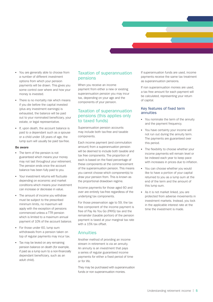- You are generally able to choose from a number of different investment options from which your pension payments will be drawn. This gives you some control over where and how your money is invested.
- There is no mortality risk which means if you die before the capital invested (plus any investment earnings) is exhausted, the balance will be paid out to your nominated beneficiary, your estate, or legal representative.
- If, upon death, the account balance is paid to a dependant such as a spouse or a child under 18 years of age, the lump sum will usually be paid tax-free.

#### **Be aware**

- The term of the pension is not guaranteed which means your money may not last throughout your retirement. The pension ends once the account balance has been fully paid to you.
- Your investment returns will fluctuate depending on economic and market conditions which means your investment can increase or decrease in value.
- The amount of income you withdraw must be subject to the prescribed minimum limits, no maximum will apply with the exception of pensions commenced unless a TTR pension which is limited to a maximum annual payment of 10% of the account balance.
- For those under 60, lump sum withdrawals from a pension taken on top of regular payments may incur tax.
- Tax may be levied on any remaining pension balance on death (for example, if paid as a lump sum to a non-financially dependant beneficiary, such as an adult child).

## Taxation of superannuation pensions

When you receive an income payment from either a new or existing superannuation pension you may incur tax, depending on your age and the components of your pension.

## Taxation of superannuation pensions (this applies only to taxed funds)

Superannuation pension accounts may include both tax-free and taxable components.

Each income payment (and commutation amount) from a superannuation pension will be deemed to include both taxable and tax free components. The proportion of each is based on the fixed percentage of these components at the commencement of the superannuation pension. This means you cannot choose which component(s) to draw your pension from. This is known as the proportional drawdown regime.

Income payments for those aged 60 and over are entirely tax-free regardless of the underlying tax components.

For those preservation age to 59, the tax free component of the income payment is free of Pay As You Go (PAYG) tax and the remainder (taxable portion) of the pension payment is taxed at your marginal tax rate with a 15% tax offset.

#### **Annuities**

Another method of providing an income stream in retirement is via an annuity. An annuity is an investment that pays a series of regular guaranteed income payments for either a fixed period of time or for life.

They may be purchased with superannuation funds or non superannuation monies.

If superannuation funds are used, income payments receive the same tax treatment as superannuation pensions.

If non superannuation monies are used, a tax free amount for each payment will be calculated, representing your return of capital.

#### Key features of fixed term annuities

- You nominate the term of the annuity and the payment frequency.
- You have certainty your income will not run out during the annuity term. The payments are guaranteed over this period.
- The flexibility to choose whether your income payments will remain level or be indexed each year to keep pace with increases in prices due to inflation.
- You can choose whether you would like to have a portion of your capital returned to you as a lump sum at the end of the term and the amount of this lump sum.
- As it is not market linked, you are protected from adverse movements in investment markets. Instead, you lock in the applicable interest rate at the time the investment is made.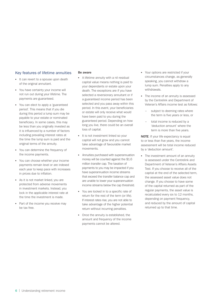#### Key features of lifetime annuities

- It can revert to a spouse upon death of the original annuitant.
- You have certainty your income will not run out during your lifetime. The payments are guaranteed.
- You can elect to apply a 'guaranteed period'. This means that if you die during this period a lump sum may be payable to your estate or nominated beneficiary. In some cases, this may be less than you originally invested as it is influenced by a number of factors including prevailing interest rates at the time the lump sum is paid and the original terms of the annuity.
- You can determine the frequency of the income payments.
- You can choose whether your income payments remain level or are indexed each year to keep pace with increases in prices due to inflation.
- As it is not market linked, you are protected from adverse movements in investment markets. Instead, you lock in the applicable interest rate at the time the investment is made.
- Part of the income you receive may be tax free.

#### **Be aware**

- A lifetime annuity with a nil residual capital value means nothing is paid to your dependants or estate upon your death. The exceptions are if you have selected a reversionary annuitant or if a guaranteed income period has been selected and you pass away within this period. In this event, your beneficiaries or estate will only receive what would have been paid to you during the guaranteed period. Depending on how long you live, there could be an overall loss of capital.
- It is not investment linked so your capital will not grow and you cannot take advantage of favourable market movements.
- Annuities purchased with superannuation money will be counted against the \$1.6 million transfer cap. The taxation of payments to you may be impacted if you have superannuation income streams that exceed the transfer balance cap and are unable to lower your superannuation income streams below the cap threshold.
- You are locked in to a specific rate of return for the rest of the term (or life). If interest rates rise, you are not able to take advantage of the higher potential return without incurring penalties.
- Once the annuity is established, the amount and frequency of the income payments cannot be altered.
- Your options are restricted if your circumstances change, as generally speaking, you cannot withdraw a lump sum. Penalties apply to any withdrawals.
- The income of an annuity is assessed by the Centrelink and Department of Veteran's Affairs income test as follows:
	- subject to deeming rates where the term is five years or less, or
	- total income is reduced by a 'deduction amount' where the term is more than five years.

**NOTE:** If your life expectancy is equal to or less than five years, the income assessment will be total income reduced by a 'deduction amount'.

• The investment amount of an annuity is assessed under the Centrelink and Department of Veteran's Affairs Assets Test. If you choose to receive all of the capital at the end of the selected term, the assessed asset value does not change. If you choose to have some of the capital returned as part of the regular payments, the asset value is recalculated every six to 12 months, depending on payment frequency. and reduced by the amount of capital returned up to that time.